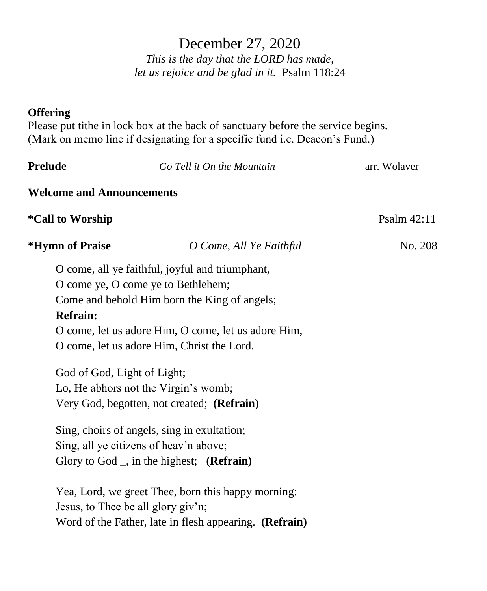# December 27, 2020 *This is the day that the LORD has made, let us rejoice and be glad in it.* Psalm 118:24

# **Offering**

Please put tithe in lock box at the back of sanctuary before the service begins. (Mark on memo line if designating for a specific fund i.e. Deacon's Fund.)

| <b>Prelude</b>                                 | Go Tell it On the Mountain                                                                                                                                                                                                                                                                                                       | arr. Wolaver |
|------------------------------------------------|----------------------------------------------------------------------------------------------------------------------------------------------------------------------------------------------------------------------------------------------------------------------------------------------------------------------------------|--------------|
| <b>Welcome and Announcements</b>               |                                                                                                                                                                                                                                                                                                                                  |              |
| <i><b>*Call to Worship</b></i>                 |                                                                                                                                                                                                                                                                                                                                  | Psalm 42:11  |
| *Hymn of Praise                                | O Come, All Ye Faithful                                                                                                                                                                                                                                                                                                          | No. 208      |
| <b>Refrain:</b><br>God of God, Light of Light; | O come, all ye faithful, joyful and triumphant,<br>O come ye, O come ye to Bethlehem;<br>Come and behold Him born the King of angels;<br>O come, let us adore Him, O come, let us adore Him,<br>O come, let us adore Him, Christ the Lord.<br>Lo, He abhors not the Virgin's womb;<br>Very God, begotten, not created; (Refrain) |              |
|                                                | Sing, choirs of angels, sing in exultation;<br>Sing, all ye citizens of heav'n above;<br>Glory to God $\_,$ in the highest; ( <b>Refrain</b> )<br>Yea, Lord, we greet Thee, born this happy morning:<br>Jesus, to Thee be all glory giv'n;<br>Word of the Father, late in flesh appearing. (Refrain)                             |              |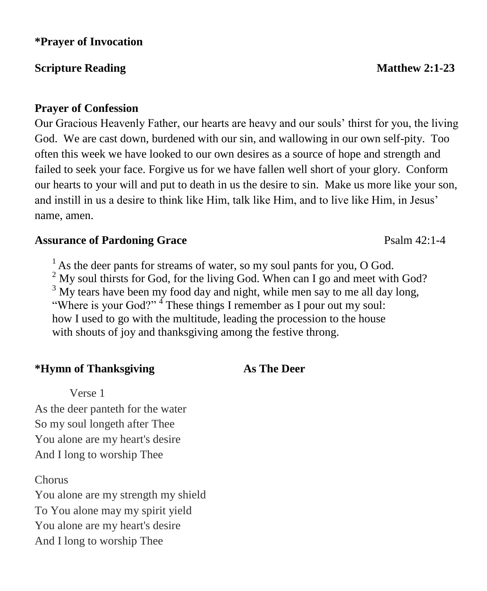# **\*Prayer of Invocation**

## **Scripture Reading Matthew 2:1-23**

### **Prayer of Confession**

Our Gracious Heavenly Father, our hearts are heavy and our souls' thirst for you, the living God. We are cast down, burdened with our sin, and wallowing in our own self-pity. Too often this week we have looked to our own desires as a source of hope and strength and failed to seek your face. Forgive us for we have fallen well short of your glory. Conform our hearts to your will and put to death in us the desire to sin. Make us more like your son, and instill in us a desire to think like Him, talk like Him, and to live like Him, in Jesus' name, amen.

## **Assurance of Pardoning Grace**  Psalm 42:1-4

 $<sup>1</sup>$  As the deer pants for streams of water, so my soul pants for you, O God.</sup>  $2$  My soul thirsts for God, for the living God. When can I go and meet with God?  $3$  My tears have been my food day and night, while men say to me all day long, "Where is your God?"<sup>4</sup> These things I remember as I pour out my soul: how I used to go with the multitude, leading the procession to the house with shouts of joy and thanksgiving among the festive throng.

# **\*Hymn of Thanksgiving As The Deer**

# Verse 1

As the deer panteth for the water So my soul longeth after Thee You alone are my heart's desire And I long to worship Thee

Chorus

You alone are my strength my shield To You alone may my spirit yield You alone are my heart's desire And I long to worship Thee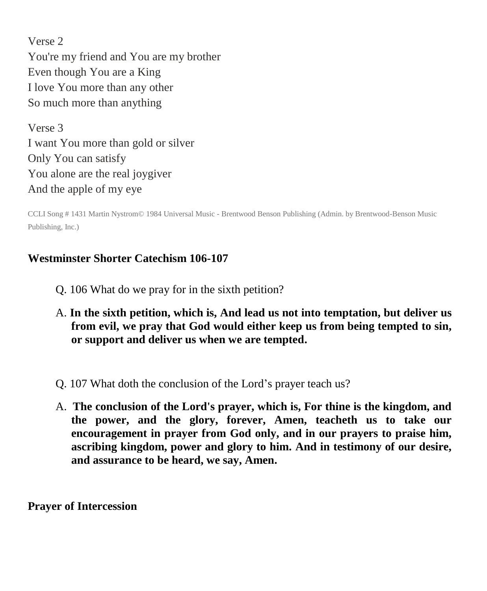Verse 2 You're my friend and You are my brother Even though You are a King I love You more than any other So much more than anything

Verse 3 I want You more than gold or silver Only You can satisfy You alone are the real joygiver And the apple of my eye

CCLI Song # 1431 Martin Nystrom© 1984 Universal Music - Brentwood Benson Publishing (Admin. by Brentwood-Benson Music Publishing, Inc.)

# **Westminster Shorter Catechism 106-107**

- Q. 106 What do we pray for in the sixth petition?
- A. **In the sixth petition, which is, And lead us not into temptation, but deliver us from evil, we pray that God would either keep us from being tempted to sin, or support and deliver us when we are tempted.**
- Q. 107 What doth the conclusion of the Lord's prayer teach us?
- A. **The conclusion of the Lord's prayer, which is, For thine is the kingdom, and the power, and the glory, forever, Amen, teacheth us to take our encouragement in prayer from God only, and in our prayers to praise him, ascribing kingdom, power and glory to him. And in testimony of our desire, and assurance to be heard, we say, Amen.**

**Prayer of Intercession**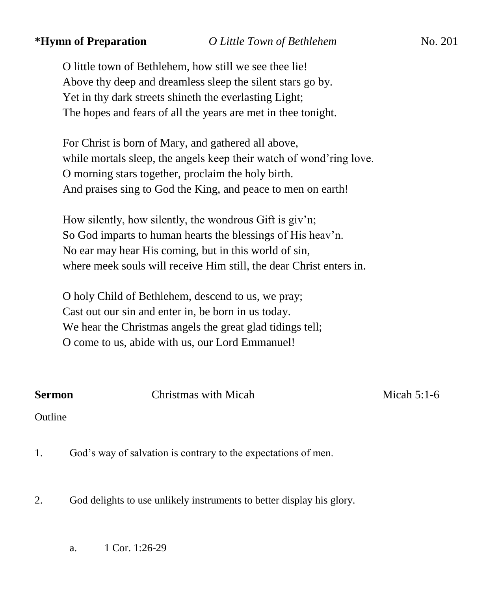## **\*Hymn of Preparation** *O Little Town of Bethlehem* No. 201

O little town of Bethlehem, how still we see thee lie! Above thy deep and dreamless sleep the silent stars go by. Yet in thy dark streets shineth the everlasting Light; The hopes and fears of all the years are met in thee tonight.

For Christ is born of Mary, and gathered all above, while mortals sleep, the angels keep their watch of wond'ring love. O morning stars together, proclaim the holy birth. And praises sing to God the King, and peace to men on earth!

How silently, how silently, the wondrous Gift is giv'n; So God imparts to human hearts the blessings of His heav'n. No ear may hear His coming, but in this world of sin, where meek souls will receive Him still, the dear Christ enters in.

O holy Child of Bethlehem, descend to us, we pray; Cast out our sin and enter in, be born in us today. We hear the Christmas angels the great glad tidings tell; O come to us, abide with us, our Lord Emmanuel!

**Sermon Christmas with Micah 19 Micah 5:1-6** 

Outline

1. God's way of salvation is contrary to the expectations of men.

2. God delights to use unlikely instruments to better display his glory.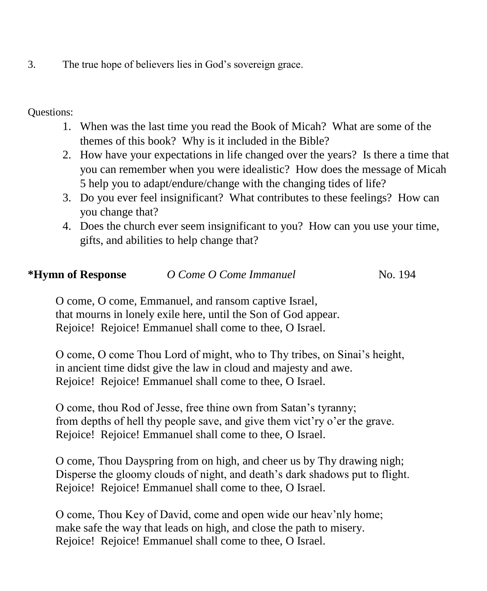3. The true hope of believers lies in God's sovereign grace.

Questions:

- 1. When was the last time you read the Book of Micah? What are some of the themes of this book? Why is it included in the Bible?
- 2. How have your expectations in life changed over the years? Is there a time that you can remember when you were idealistic? How does the message of Micah 5 help you to adapt/endure/change with the changing tides of life?
- 3. Do you ever feel insignificant? What contributes to these feelings? How can you change that?
- 4. Does the church ever seem insignificant to you? How can you use your time, gifts, and abilities to help change that?

| *Hymn of Response | O Come O Come Immanuel | No. 194 |
|-------------------|------------------------|---------|
|                   |                        |         |

O come, O come, Emmanuel, and ransom captive Israel, that mourns in lonely exile here, until the Son of God appear. Rejoice! Rejoice! Emmanuel shall come to thee, O Israel.

O come, O come Thou Lord of might, who to Thy tribes, on Sinai's height, in ancient time didst give the law in cloud and majesty and awe. Rejoice! Rejoice! Emmanuel shall come to thee, O Israel.

O come, thou Rod of Jesse, free thine own from Satan's tyranny; from depths of hell thy people save, and give them vict'ry o'er the grave. Rejoice! Rejoice! Emmanuel shall come to thee, O Israel.

O come, Thou Dayspring from on high, and cheer us by Thy drawing nigh; Disperse the gloomy clouds of night, and death's dark shadows put to flight. Rejoice! Rejoice! Emmanuel shall come to thee, O Israel.

O come, Thou Key of David, come and open wide our heav'nly home; make safe the way that leads on high, and close the path to misery. Rejoice! Rejoice! Emmanuel shall come to thee, O Israel.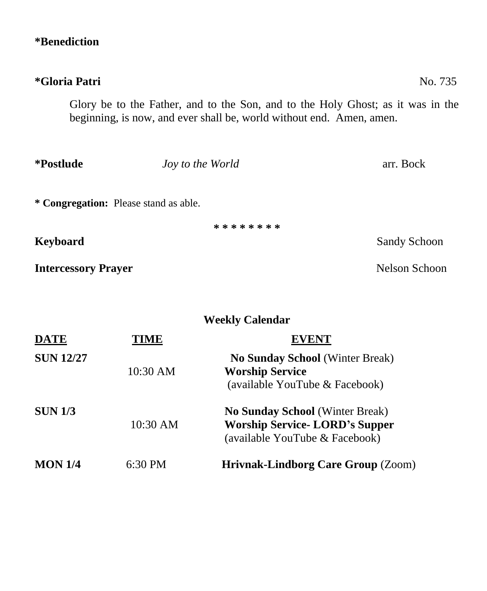# **\*Benediction**

| *Gloria Patri              |                                       |                                                                                                                  | No. 735                                                                         |  |  |
|----------------------------|---------------------------------------|------------------------------------------------------------------------------------------------------------------|---------------------------------------------------------------------------------|--|--|
|                            |                                       | beginning, is now, and ever shall be, world without end. Amen, amen.                                             | Glory be to the Father, and to the Son, and to the Holy Ghost; as it was in the |  |  |
| *Postlude                  | Joy to the World                      | arr. Bock                                                                                                        |                                                                                 |  |  |
|                            | * Congregation: Please stand as able. |                                                                                                                  |                                                                                 |  |  |
|                            |                                       | * * * * * * * *                                                                                                  |                                                                                 |  |  |
| <b>Keyboard</b>            |                                       |                                                                                                                  | <b>Sandy Schoon</b>                                                             |  |  |
| <b>Intercessory Prayer</b> |                                       |                                                                                                                  | Nelson Schoon                                                                   |  |  |
|                            |                                       | <b>Weekly Calendar</b>                                                                                           |                                                                                 |  |  |
| <b>DATE</b>                | <b>TIME</b>                           | <b>EVENT</b>                                                                                                     |                                                                                 |  |  |
| <b>SUN 12/27</b>           | 10:30 AM                              | <b>No Sunday School</b> (Winter Break)<br><b>Worship Service</b><br>(available YouTube & Facebook)               |                                                                                 |  |  |
| <b>SUN 1/3</b>             | 10:30 AM                              | <b>No Sunday School</b> (Winter Break)<br><b>Worship Service-LORD's Supper</b><br>(available YouTube & Facebook) |                                                                                 |  |  |
| <b>MON 1/4</b>             | 6:30 PM                               | <b>Hrivnak-Lindborg Care Group (Zoom)</b>                                                                        |                                                                                 |  |  |